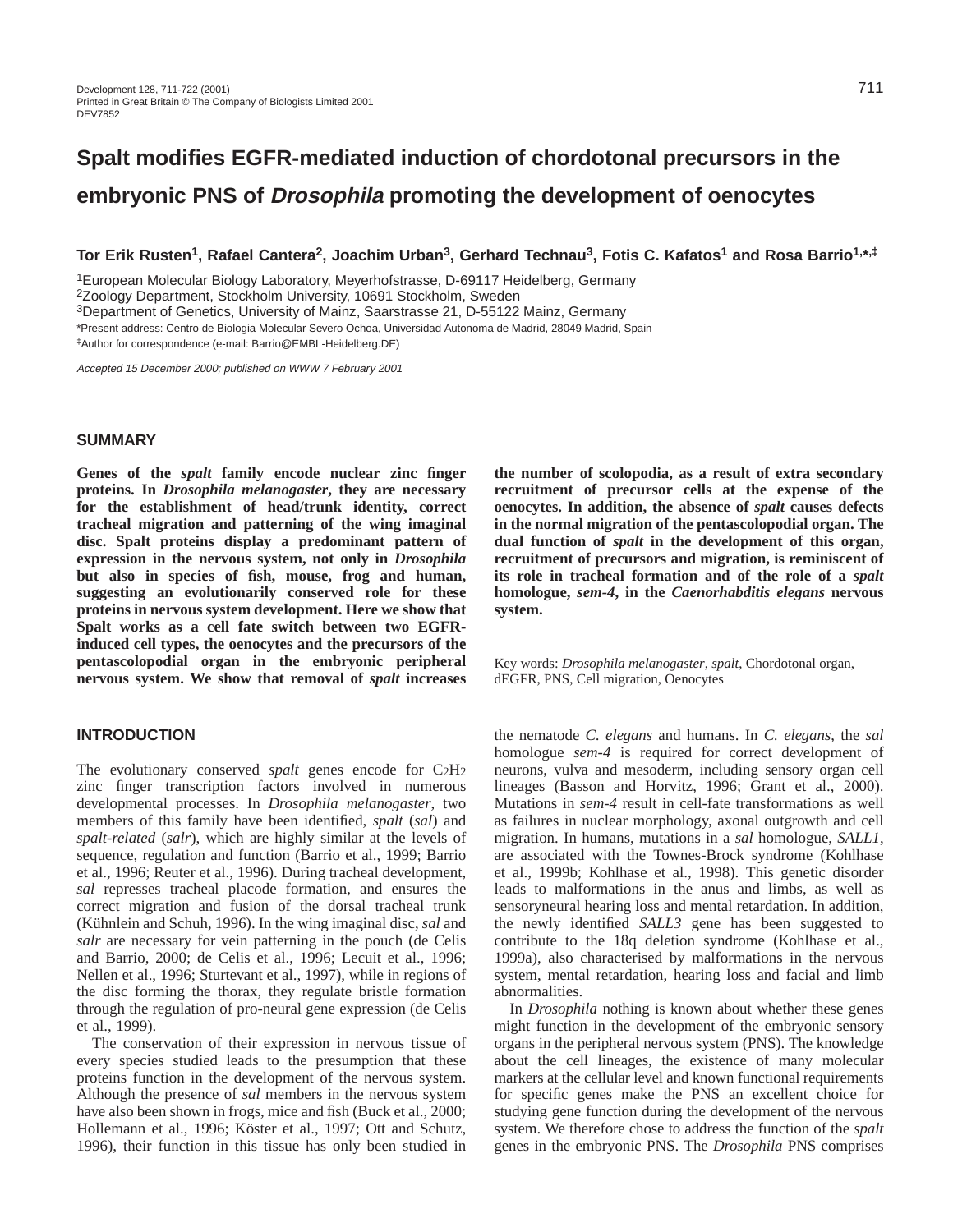# **Spalt modifies EGFR-mediated induction of chordotonal precursors in the embryonic PNS of Drosophila promoting the development of oenocytes**

**Tor Erik Rusten1, Rafael Cantera2, Joachim Urban3, Gerhard Technau3, Fotis C. Kafatos1 and Rosa Barrio1,\*,‡**

1European Molecular Biology Laboratory, Meyerhofstrasse, D-69117 Heidelberg, Germany

2Zoology Department, Stockholm University, 10691 Stockholm, Sweden

3Department of Genetics, University of Mainz, Saarstrasse 21, D-55122 Mainz, Germany

\*Present address: Centro de Biologia Molecular Severo Ochoa, Universidad Autonoma de Madrid, 28049 Madrid, Spain

‡Author for correspondence (e-mail: Barrio@EMBL-Heidelberg.DE)

Accepted 15 December 2000; published on WWW 7 February 2001

### **SUMMARY**

**Genes of the** *spalt* **family encode nuclear zinc finger proteins. In** *Drosophila melanogaster***, they are necessary for the establishment of head/trunk identity, correct tracheal migration and patterning of the wing imaginal disc. Spalt proteins display a predominant pattern of expression in the nervous system, not only in** *Drosophila* **but also in species of fish, mouse, frog and human, suggesting an evolutionarily conserved role for these proteins in nervous system development. Here we show that Spalt works as a cell fate switch between two EGFRinduced cell types, the oenocytes and the precursors of the pentascolopodial organ in the embryonic peripheral nervous system. We show that removal of** *spalt* **increases**

## **INTRODUCTION**

The evolutionary conserved *spalt* genes encode for C2H2 zinc finger transcription factors involved in numerous developmental processes. In *Drosophila melanogaster*, two members of this family have been identified, *spalt* (*sal*) and *spalt*-*related* (*salr*), which are highly similar at the levels of sequence, regulation and function (Barrio et al., 1999; Barrio et al., 1996; Reuter et al., 1996). During tracheal development, *sal* represses tracheal placode formation, and ensures the correct migration and fusion of the dorsal tracheal trunk (Kühnlein and Schuh, 1996). In the wing imaginal disc, *sal* and *salr* are necessary for vein patterning in the pouch (de Celis and Barrio, 2000; de Celis et al., 1996; Lecuit et al., 1996; Nellen et al., 1996; Sturtevant et al., 1997), while in regions of the disc forming the thorax, they regulate bristle formation through the regulation of pro-neural gene expression (de Celis et al., 1999).

The conservation of their expression in nervous tissue of every species studied leads to the presumption that these proteins function in the development of the nervous system. Although the presence of *sal* members in the nervous system have also been shown in frogs, mice and fish (Buck et al., 2000; Hollemann et al., 1996; Köster et al., 1997; Ott and Schutz, 1996), their function in this tissue has only been studied in

**the number of scolopodia, as a result of extra secondary recruitment of precursor cells at the expense of the oenocytes. In addition, the absence of** *spalt* **causes defects in the normal migration of the pentascolopodial organ. The dual function of** *spalt* **in the development of this organ, recruitment of precursors and migration, is reminiscent of its role in tracheal formation and of the role of a** *spalt* **homologue,** *sem-4***, in the** *Caenorhabditis elegans* **nervous system.**

Key words: *Drosophila melanogaster*, *spalt*, Chordotonal organ, dEGFR, PNS, Cell migration, Oenocytes

the nematode *C. elegans* and humans. In *C. elegans*, the *sal* homologue *sem-4* is required for correct development of neurons, vulva and mesoderm, including sensory organ cell lineages (Basson and Horvitz, 1996; Grant et al., 2000). Mutations in *sem-4* result in cell-fate transformations as well as failures in nuclear morphology, axonal outgrowth and cell migration. In humans, mutations in a *sal* homologue, *SALL1*, are associated with the Townes-Brock syndrome (Kohlhase et al., 1999b; Kohlhase et al., 1998). This genetic disorder leads to malformations in the anus and limbs, as well as sensoryneural hearing loss and mental retardation. In addition, the newly identified *SALL3* gene has been suggested to contribute to the 18q deletion syndrome (Kohlhase et al., 1999a), also characterised by malformations in the nervous system, mental retardation, hearing loss and facial and limb abnormalities.

In *Drosophila* nothing is known about whether these genes might function in the development of the embryonic sensory organs in the peripheral nervous system (PNS). The knowledge about the cell lineages, the existence of many molecular markers at the cellular level and known functional requirements for specific genes make the PNS an excellent choice for studying gene function during the development of the nervous system. We therefore chose to address the function of the *spalt* genes in the embryonic PNS. The *Drosophila* PNS comprises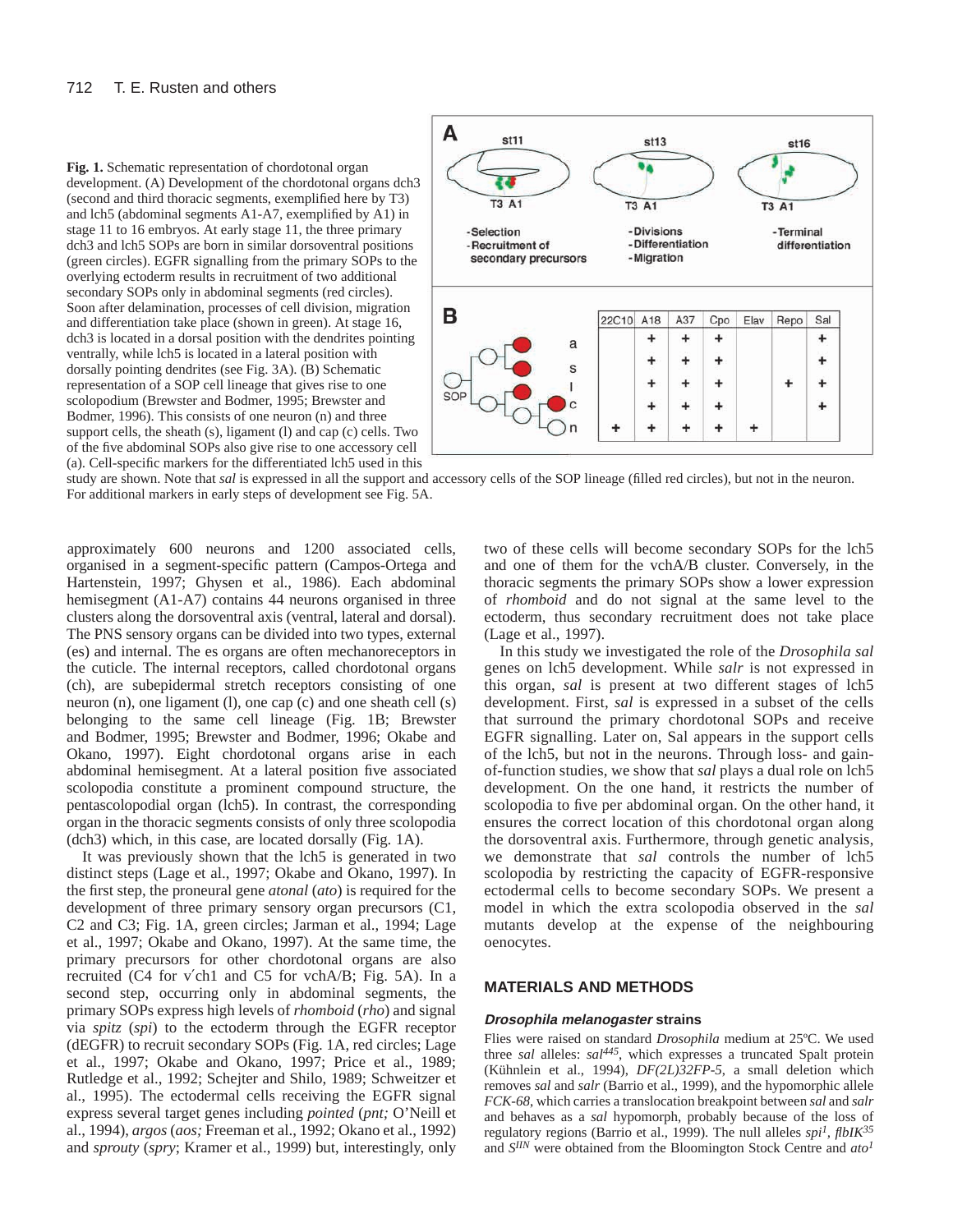#### 712 T. E. Rusten and others





study are shown. Note that *sal* is expressed in all the support and accessory cells of the SOP lineage (filled red circles), but not in the neuron. For additional markers in early steps of development see Fig. 5A.

approximately 600 neurons and 1200 associated cells, organised in a segment-specific pattern (Campos-Ortega and Hartenstein, 1997; Ghysen et al., 1986). Each abdominal hemisegment (A1-A7) contains 44 neurons organised in three clusters along the dorsoventral axis (ventral, lateral and dorsal). The PNS sensory organs can be divided into two types, external (es) and internal. The es organs are often mechanoreceptors in the cuticle. The internal receptors, called chordotonal organs (ch), are subepidermal stretch receptors consisting of one neuron (n), one ligament (l), one cap (c) and one sheath cell (s) belonging to the same cell lineage (Fig. 1B; Brewster and Bodmer, 1995; Brewster and Bodmer, 1996; Okabe and Okano, 1997). Eight chordotonal organs arise in each abdominal hemisegment. At a lateral position five associated scolopodia constitute a prominent compound structure, the pentascolopodial organ (lch5). In contrast, the corresponding organ in the thoracic segments consists of only three scolopodia (dch3) which, in this case, are located dorsally (Fig. 1A).

It was previously shown that the lch5 is generated in two distinct steps (Lage et al., 1997; Okabe and Okano, 1997). In the first step, the proneural gene *atonal* (*ato*) is required for the development of three primary sensory organ precursors (C1, C2 and C3; Fig. 1A, green circles; Jarman et al., 1994; Lage et al., 1997; Okabe and Okano, 1997). At the same time, the primary precursors for other chordotonal organs are also recruited (C4 for v′ch1 and C5 for vchA/B; Fig. 5A). In a second step, occurring only in abdominal segments, the primary SOPs express high levels of *rhomboid* (*rho*) and signal via *spitz* (*spi*) to the ectoderm through the EGFR receptor (dEGFR) to recruit secondary SOPs (Fig. 1A, red circles; Lage et al., 1997; Okabe and Okano, 1997; Price et al., 1989; Rutledge et al., 1992; Schejter and Shilo, 1989; Schweitzer et al., 1995). The ectodermal cells receiving the EGFR signal express several target genes including *pointed* (*pnt;* O'Neill et al., 1994), *argos* (*aos;* Freeman et al., 1992; Okano et al., 1992) and *sprouty* (*spry*; Kramer et al., 1999) but, interestingly, only

two of these cells will become secondary SOPs for the lch5 and one of them for the vchA/B cluster. Conversely, in the thoracic segments the primary SOPs show a lower expression of *rhomboid* and do not signal at the same level to the ectoderm, thus secondary recruitment does not take place (Lage et al., 1997).

In this study we investigated the role of the *Drosophila sal* genes on lch5 development. While *salr* is not expressed in this organ, *sal* is present at two different stages of lch5 development. First, *sal* is expressed in a subset of the cells that surround the primary chordotonal SOPs and receive EGFR signalling. Later on, Sal appears in the support cells of the lch5, but not in the neurons. Through loss- and gainof-function studies, we show that *sal* plays a dual role on lch5 development. On the one hand, it restricts the number of scolopodia to five per abdominal organ. On the other hand, it ensures the correct location of this chordotonal organ along the dorsoventral axis. Furthermore, through genetic analysis, we demonstrate that *sal* controls the number of lch5 scolopodia by restricting the capacity of EGFR-responsive ectodermal cells to become secondary SOPs. We present a model in which the extra scolopodia observed in the *sal* mutants develop at the expense of the neighbouring oenocytes.

## **MATERIALS AND METHODS**

### **Drosophila melanogaster strains**

Flies were raised on standard *Drosophila* medium at 25ºC. We used three *sal* alleles: *sal445*, which expresses a truncated Spalt protein (Kühnlein et al., 1994), *DF(2L)32FP-5*, a small deletion which removes *sal* and *salr* (Barrio et al., 1999), and the hypomorphic allele *FCK-68*, which carries a translocation breakpoint between *sal* and *salr* and behaves as a *sal* hypomorph, probably because of the loss of regulatory regions (Barrio et al., 1999). The null alleles *spi1, flbIK35* and *SIIN* were obtained from the Bloomington Stock Centre and *ato<sup>1</sup>*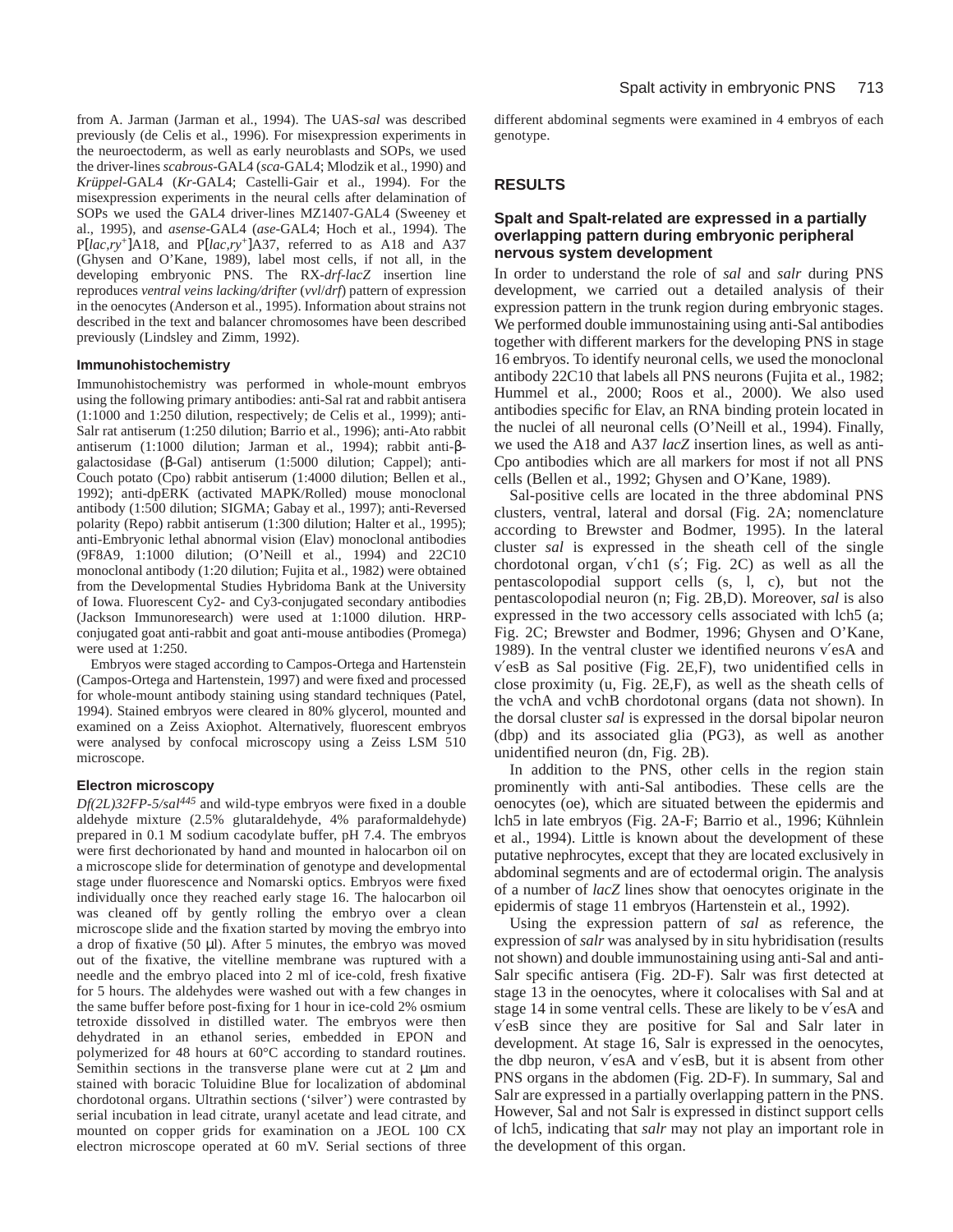from A. Jarman (Jarman et al., 1994). The UAS-*sal* was described previously (de Celis et al., 1996). For misexpression experiments in the neuroectoderm, as well as early neuroblasts and SOPs, we used the driver-lines *scabrous*-GAL4 (*sca*-GAL4; Mlodzik et al., 1990) and *Krüppel*-GAL4 (*Kr*-GAL4; Castelli-Gair et al., 1994). For the misexpression experiments in the neural cells after delamination of SOPs we used the GAL4 driver-lines MZ1407-GAL4 (Sweeney et al., 1995), and *asense*-GAL4 (*ase*-GAL4; Hoch et al., 1994). The P[*lac,ry*+]A18, and P[*lac,ry*+]A37, referred to as A18 and A37 (Ghysen and O'Kane, 1989), label most cells, if not all, in the developing embryonic PNS. The RX-*drf-lacZ* insertion line reproduces *ventral veins lacking/drifter* (*vvl*/*drf*) pattern of expression in the oenocytes (Anderson et al., 1995). Information about strains not described in the text and balancer chromosomes have been described previously (Lindsley and Zimm, 1992).

### **Immunohistochemistry**

Immunohistochemistry was performed in whole-mount embryos using the following primary antibodies: anti-Sal rat and rabbit antisera (1:1000 and 1:250 dilution, respectively; de Celis et al., 1999); anti-Salr rat antiserum (1:250 dilution; Barrio et al., 1996); anti-Ato rabbit antiserum (1:1000 dilution; Jarman et al., 1994); rabbit anti-βgalactosidase (β-Gal) antiserum (1:5000 dilution; Cappel); anti-Couch potato (Cpo) rabbit antiserum (1:4000 dilution; Bellen et al., 1992); anti-dpERK (activated MAPK/Rolled) mouse monoclonal antibody (1:500 dilution; SIGMA; Gabay et al., 1997); anti-Reversed polarity (Repo) rabbit antiserum (1:300 dilution; Halter et al., 1995); anti-Embryonic lethal abnormal vision (Elav) monoclonal antibodies (9F8A9, 1:1000 dilution; (O'Neill et al., 1994) and 22C10 monoclonal antibody (1:20 dilution; Fujita et al., 1982) were obtained from the Developmental Studies Hybridoma Bank at the University of Iowa. Fluorescent Cy2- and Cy3-conjugated secondary antibodies (Jackson Immunoresearch) were used at 1:1000 dilution. HRPconjugated goat anti-rabbit and goat anti-mouse antibodies (Promega) were used at 1:250.

Embryos were staged according to Campos-Ortega and Hartenstein (Campos-Ortega and Hartenstein, 1997) and were fixed and processed for whole-mount antibody staining using standard techniques (Patel, 1994). Stained embryos were cleared in 80% glycerol, mounted and examined on a Zeiss Axiophot. Alternatively, fluorescent embryos were analysed by confocal microscopy using a Zeiss LSM 510 microscope.

### **Electron microscopy**

*Df(2L)32FP-5/sal<sup>445</sup>* and wild-type embryos were fixed in a double aldehyde mixture (2.5% glutaraldehyde, 4% paraformaldehyde) prepared in 0.1 M sodium cacodylate buffer, pH 7.4. The embryos were first dechorionated by hand and mounted in halocarbon oil on a microscope slide for determination of genotype and developmental stage under fluorescence and Nomarski optics. Embryos were fixed individually once they reached early stage 16. The halocarbon oil was cleaned off by gently rolling the embryo over a clean microscope slide and the fixation started by moving the embryo into a drop of fixative (50 µl). After 5 minutes, the embryo was moved out of the fixative, the vitelline membrane was ruptured with a needle and the embryo placed into 2 ml of ice-cold, fresh fixative for 5 hours. The aldehydes were washed out with a few changes in the same buffer before post-fixing for 1 hour in ice-cold 2% osmium tetroxide dissolved in distilled water. The embryos were then dehydrated in an ethanol series, embedded in EPON and polymerized for 48 hours at 60°C according to standard routines. Semithin sections in the transverse plane were cut at 2  $\mu$ m and stained with boracic Toluidine Blue for localization of abdominal chordotonal organs. Ultrathin sections ('silver') were contrasted by serial incubation in lead citrate, uranyl acetate and lead citrate, and mounted on copper grids for examination on a JEOL 100 CX electron microscope operated at 60 mV. Serial sections of three

different abdominal segments were examined in 4 embryos of each genotype.

### **RESULTS**

### **Spalt and Spalt-related are expressed in a partially overlapping pattern during embryonic peripheral nervous system development**

In order to understand the role of *sal* and *salr* during PNS development, we carried out a detailed analysis of their expression pattern in the trunk region during embryonic stages. We performed double immunostaining using anti-Sal antibodies together with different markers for the developing PNS in stage 16 embryos. To identify neuronal cells, we used the monoclonal antibody 22C10 that labels all PNS neurons (Fujita et al., 1982; Hummel et al., 2000; Roos et al., 2000). We also used antibodies specific for Elav, an RNA binding protein located in the nuclei of all neuronal cells (O'Neill et al., 1994). Finally, we used the A18 and A37 *lacZ* insertion lines, as well as anti-Cpo antibodies which are all markers for most if not all PNS cells (Bellen et al., 1992; Ghysen and O'Kane, 1989).

Sal-positive cells are located in the three abdominal PNS clusters, ventral, lateral and dorsal (Fig. 2A; nomenclature according to Brewster and Bodmer, 1995). In the lateral cluster *sal* is expressed in the sheath cell of the single chordotonal organ, v′ch1 (s′; Fig. 2C) as well as all the pentascolopodial support cells (s, l, c), but not the pentascolopodial neuron (n; Fig. 2B,D). Moreover, *sal* is also expressed in the two accessory cells associated with lch5 (a; Fig. 2C; Brewster and Bodmer, 1996; Ghysen and O'Kane, 1989). In the ventral cluster we identified neurons v′esA and v′esB as Sal positive (Fig. 2E,F), two unidentified cells in close proximity (u, Fig. 2E,F), as well as the sheath cells of the vchA and vchB chordotonal organs (data not shown). In the dorsal cluster *sal* is expressed in the dorsal bipolar neuron (dbp) and its associated glia (PG3), as well as another unidentified neuron (dn, Fig. 2B).

In addition to the PNS, other cells in the region stain prominently with anti-Sal antibodies. These cells are the oenocytes (oe), which are situated between the epidermis and lch5 in late embryos (Fig. 2A-F; Barrio et al., 1996; Kühnlein et al., 1994). Little is known about the development of these putative nephrocytes, except that they are located exclusively in abdominal segments and are of ectodermal origin. The analysis of a number of *lacZ* lines show that oenocytes originate in the epidermis of stage 11 embryos (Hartenstein et al., 1992).

Using the expression pattern of *sal* as reference, the expression of *salr* was analysed by in situ hybridisation (results not shown) and double immunostaining using anti-Sal and anti-Salr specific antisera (Fig. 2D-F). Salr was first detected at stage 13 in the oenocytes, where it colocalises with Sal and at stage 14 in some ventral cells. These are likely to be v′esA and v′esB since they are positive for Sal and Salr later in development. At stage 16, Salr is expressed in the oenocytes, the dbp neuron, v′esA and v′esB, but it is absent from other PNS organs in the abdomen (Fig. 2D-F). In summary, Sal and Salr are expressed in a partially overlapping pattern in the PNS. However, Sal and not Salr is expressed in distinct support cells of lch5, indicating that *salr* may not play an important role in the development of this organ.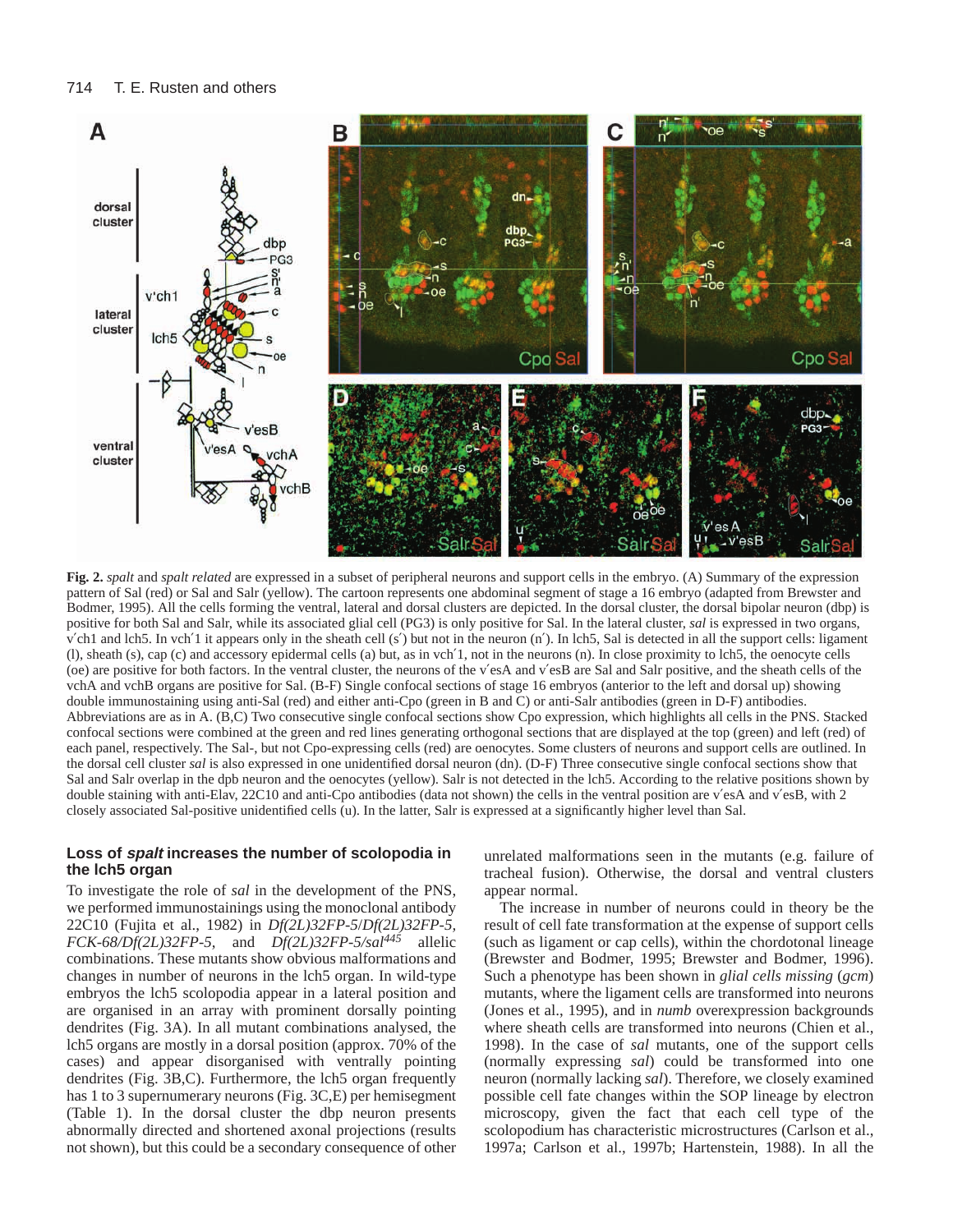

**Fig. 2.** *spalt* and *spalt related* are expressed in a subset of peripheral neurons and support cells in the embryo. (A) Summary of the expression pattern of Sal (red) or Sal and Salr (yellow). The cartoon represents one abdominal segment of stage a 16 embryo (adapted from Brewster and Bodmer, 1995). All the cells forming the ventral, lateral and dorsal clusters are depicted. In the dorsal cluster, the dorsal bipolar neuron (dbp) is positive for both Sal and Salr, while its associated glial cell (PG3) is only positive for Sal. In the lateral cluster, *sal* is expressed in two organs, v′ch1 and lch5. In vch′1 it appears only in the sheath cell (s′) but not in the neuron (n′). In lch5, Sal is detected in all the support cells: ligament (l), sheath (s), cap (c) and accessory epidermal cells (a) but, as in vch′1, not in the neurons (n). In close proximity to lch5, the oenocyte cells (oe) are positive for both factors. In the ventral cluster, the neurons of the v′esA and v′esB are Sal and Salr positive, and the sheath cells of the vchA and vchB organs are positive for Sal. (B-F) Single confocal sections of stage 16 embryos (anterior to the left and dorsal up) showing double immunostaining using anti-Sal (red) and either anti-Cpo (green in B and C) or anti-Salr antibodies (green in D-F) antibodies. Abbreviations are as in A. (B,C) Two consecutive single confocal sections show Cpo expression, which highlights all cells in the PNS. Stacked confocal sections were combined at the green and red lines generating orthogonal sections that are displayed at the top (green) and left (red) of each panel, respectively. The Sal-, but not Cpo-expressing cells (red) are oenocytes. Some clusters of neurons and support cells are outlined. In the dorsal cell cluster *sal* is also expressed in one unidentified dorsal neuron (dn). (D-F) Three consecutive single confocal sections show that Sal and Salr overlap in the dpb neuron and the oenocytes (yellow). Salr is not detected in the lch5. According to the relative positions shown by double staining with anti-Elav, 22C10 and anti-Cpo antibodies (data not shown) the cells in the ventral position are v'esA and v'esB, with 2 closely associated Sal-positive unidentified cells (u). In the latter, Salr is expressed at a significantly higher level than Sal.

### **Loss of spalt increases the number of scolopodia in the lch5 organ**

To investigate the role of *sal* in the development of the PNS, we performed immunostainings using the monoclonal antibody 22C10 (Fujita et al., 1982) in *Df(2L)32FP-5*/*Df(2L)32FP-5, FCK-68/Df(2L)32FP-5*, and *Df(2L)32FP-5/sal445* allelic combinations. These mutants show obvious malformations and changes in number of neurons in the lch5 organ. In wild-type embryos the lch5 scolopodia appear in a lateral position and are organised in an array with prominent dorsally pointing dendrites (Fig. 3A). In all mutant combinations analysed, the lch5 organs are mostly in a dorsal position (approx. 70% of the cases) and appear disorganised with ventrally pointing dendrites (Fig. 3B,C). Furthermore, the lch5 organ frequently has 1 to 3 supernumerary neurons (Fig. 3C,E) per hemisegment (Table 1). In the dorsal cluster the dbp neuron presents abnormally directed and shortened axonal projections (results not shown), but this could be a secondary consequence of other unrelated malformations seen in the mutants (e.g. failure of tracheal fusion). Otherwise, the dorsal and ventral clusters appear normal.

The increase in number of neurons could in theory be the result of cell fate transformation at the expense of support cells (such as ligament or cap cells), within the chordotonal lineage (Brewster and Bodmer, 1995; Brewster and Bodmer, 1996). Such a phenotype has been shown in *glial cells missing* (*gcm*) mutants, where the ligament cells are transformed into neurons (Jones et al., 1995), and in *numb* overexpression backgrounds where sheath cells are transformed into neurons (Chien et al., 1998). In the case of *sal* mutants, one of the support cells (normally expressing *sal*) could be transformed into one neuron (normally lacking *sal*). Therefore, we closely examined possible cell fate changes within the SOP lineage by electron microscopy, given the fact that each cell type of the scolopodium has characteristic microstructures (Carlson et al., 1997a; Carlson et al., 1997b; Hartenstein, 1988). In all the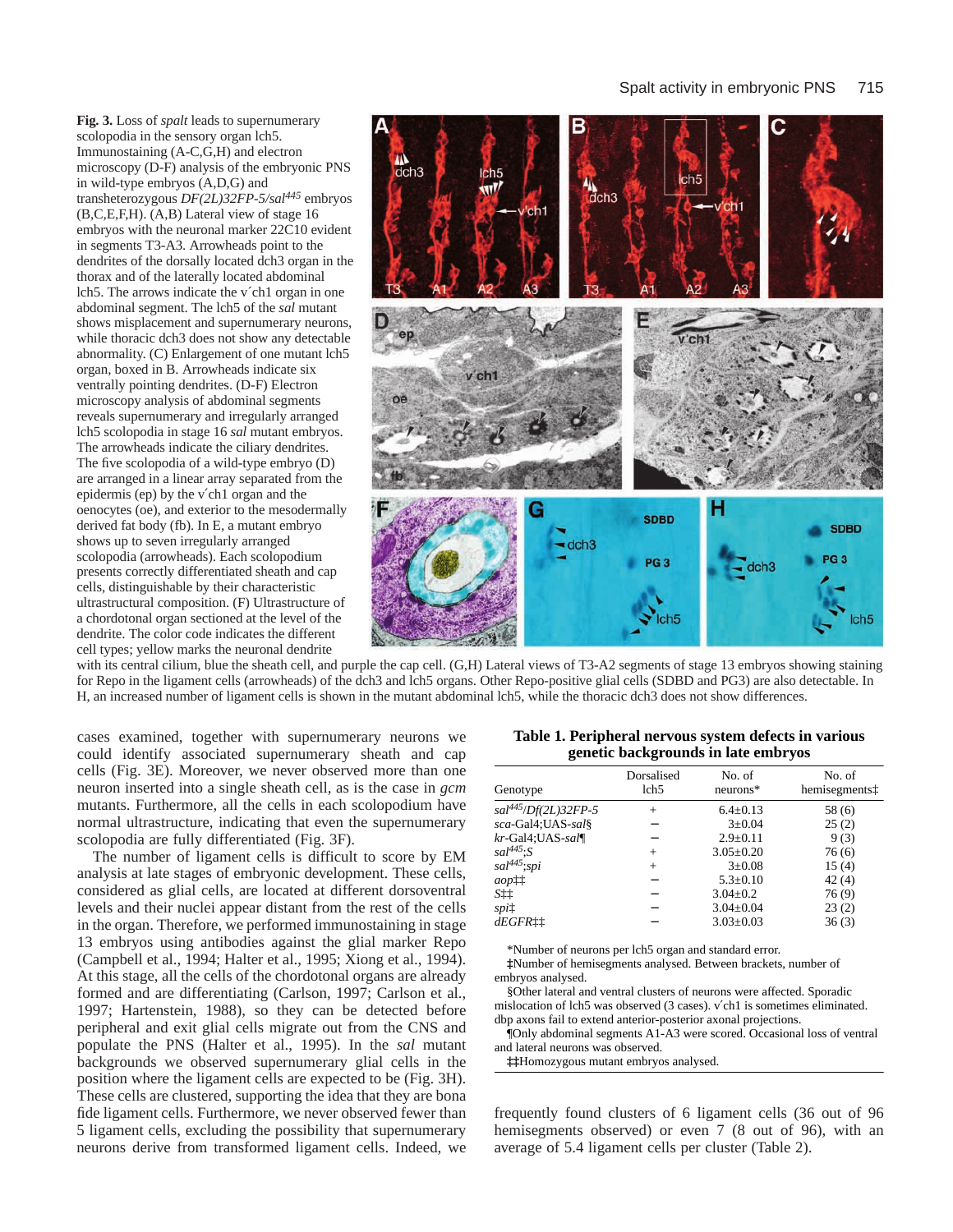**Fig. 3.** Loss of *spalt* leads to supernumerary scolopodia in the sensory organ lch5. Immunostaining (A-C,G,H) and electron microscopy (D-F) analysis of the embryonic PNS in wild-type embryos (A,D,G) and transheterozygous *DF(2L)32FP-5/sal445* embryos (B,C,E,F,H). (A,B) Lateral view of stage 16 embryos with the neuronal marker 22C10 evident in segments T3-A3. Arrowheads point to the dendrites of the dorsally located dch3 organ in the thorax and of the laterally located abdominal lch5. The arrows indicate the v´ch1 organ in one abdominal segment. The lch5 of the *sal* mutant shows misplacement and supernumerary neurons, while thoracic dch3 does not show any detectable abnormality. (C) Enlargement of one mutant lch5 organ, boxed in B. Arrowheads indicate six ventrally pointing dendrites. (D-F) Electron microscopy analysis of abdominal segments reveals supernumerary and irregularly arranged lch5 scolopodia in stage 16 *sal* mutant embryos. The arrowheads indicate the ciliary dendrites. The five scolopodia of a wild-type embryo (D) are arranged in a linear array separated from the epidermis (ep) by the v′ch1 organ and the oenocytes (oe), and exterior to the mesodermally derived fat body (fb). In E, a mutant embryo shows up to seven irregularly arranged scolopodia (arrowheads). Each scolopodium presents correctly differentiated sheath and cap cells, distinguishable by their characteristic ultrastructural composition. (F) Ultrastructure of a chordotonal organ sectioned at the level of the dendrite. The color code indicates the different cell types; yellow marks the neuronal dendrite



with its central cilium, blue the sheath cell, and purple the cap cell. (G,H) Lateral views of T3-A2 segments of stage 13 embryos showing staining for Repo in the ligament cells (arrowheads) of the dch3 and lch5 organs. Other Repo-positive glial cells (SDBD and PG3) are also detectable. In H, an increased number of ligament cells is shown in the mutant abdominal lch5, while the thoracic dch3 does not show differences.

cases examined, together with supernumerary neurons we could identify associated supernumerary sheath and cap cells (Fig. 3E). Moreover, we never observed more than one neuron inserted into a single sheath cell, as is the case in *gcm* mutants. Furthermore, all the cells in each scolopodium have normal ultrastructure, indicating that even the supernumerary scolopodia are fully differentiated (Fig. 3F).

The number of ligament cells is difficult to score by EM analysis at late stages of embryonic development. These cells, considered as glial cells, are located at different dorsoventral levels and their nuclei appear distant from the rest of the cells in the organ. Therefore, we performed immunostaining in stage 13 embryos using antibodies against the glial marker Repo (Campbell et al., 1994; Halter et al., 1995; Xiong et al., 1994). At this stage, all the cells of the chordotonal organs are already formed and are differentiating (Carlson, 1997; Carlson et al., 1997; Hartenstein, 1988), so they can be detected before peripheral and exit glial cells migrate out from the CNS and populate the PNS (Halter et al., 1995). In the *sal* mutant backgrounds we observed supernumerary glial cells in the position where the ligament cells are expected to be (Fig. 3H). These cells are clustered, supporting the idea that they are bona fide ligament cells. Furthermore, we never observed fewer than 5 ligament cells, excluding the possibility that supernumerary neurons derive from transformed ligament cells. Indeed, we

**Table 1. Peripheral nervous system defects in various genetic backgrounds in late embryos**

| Genotype                 | Dorsalised<br>lch <sub>5</sub> | No. of<br>$neurons*$ | No. of<br>hemisegmentst |
|--------------------------|--------------------------------|----------------------|-------------------------|
| $sal^{445}/Df(2L)32FP-5$ | $^{+}$                         | $6.4 \pm 0.13$       | 58 (6)                  |
| sca-Gal4;UAS-sal§        |                                | $3 \pm 0.04$         | 25(2)                   |
| kr-Gal4;UAS-sal¶         |                                | $2.9 \pm 0.11$       | 9(3)                    |
| $sal^{445}$ : $S$        | $^{+}$                         | $3.05 \pm 0.20$      | 76(6)                   |
| $sal^{445}$ ;spi         | $^{+}$                         | $3 \pm 0.08$         | 15(4)                   |
| $aop_{+}^{++}$           |                                | $5.3 \pm 0.10$       | 42(4)                   |
| S‡‡                      |                                | $3.04 \pm 0.2$       | 76(9)                   |
| spi‡                     |                                | $3.04 \pm 0.04$      | 23(2)                   |
| dEGFRii                  |                                | $3.03 \pm 0.03$      | 36(3)                   |
|                          |                                |                      |                         |

\*Number of neurons per lch5 organ and standard error.

**‡**Number of hemisegments analysed. Between brackets, number of embryos analysed.

§Other lateral and ventral clusters of neurons were affected. Sporadic mislocation of lch5 was observed (3 cases). v′ch1 is sometimes eliminated. dbp axons fail to extend anterior-posterior axonal projections.

¶Only abdominal segments A1-A3 were scored. Occasional loss of ventral and lateral neurons was observed.

**‡‡**Homozygous mutant embryos analysed.

frequently found clusters of 6 ligament cells (36 out of 96 hemisegments observed) or even 7 (8 out of 96), with an average of 5.4 ligament cells per cluster (Table 2).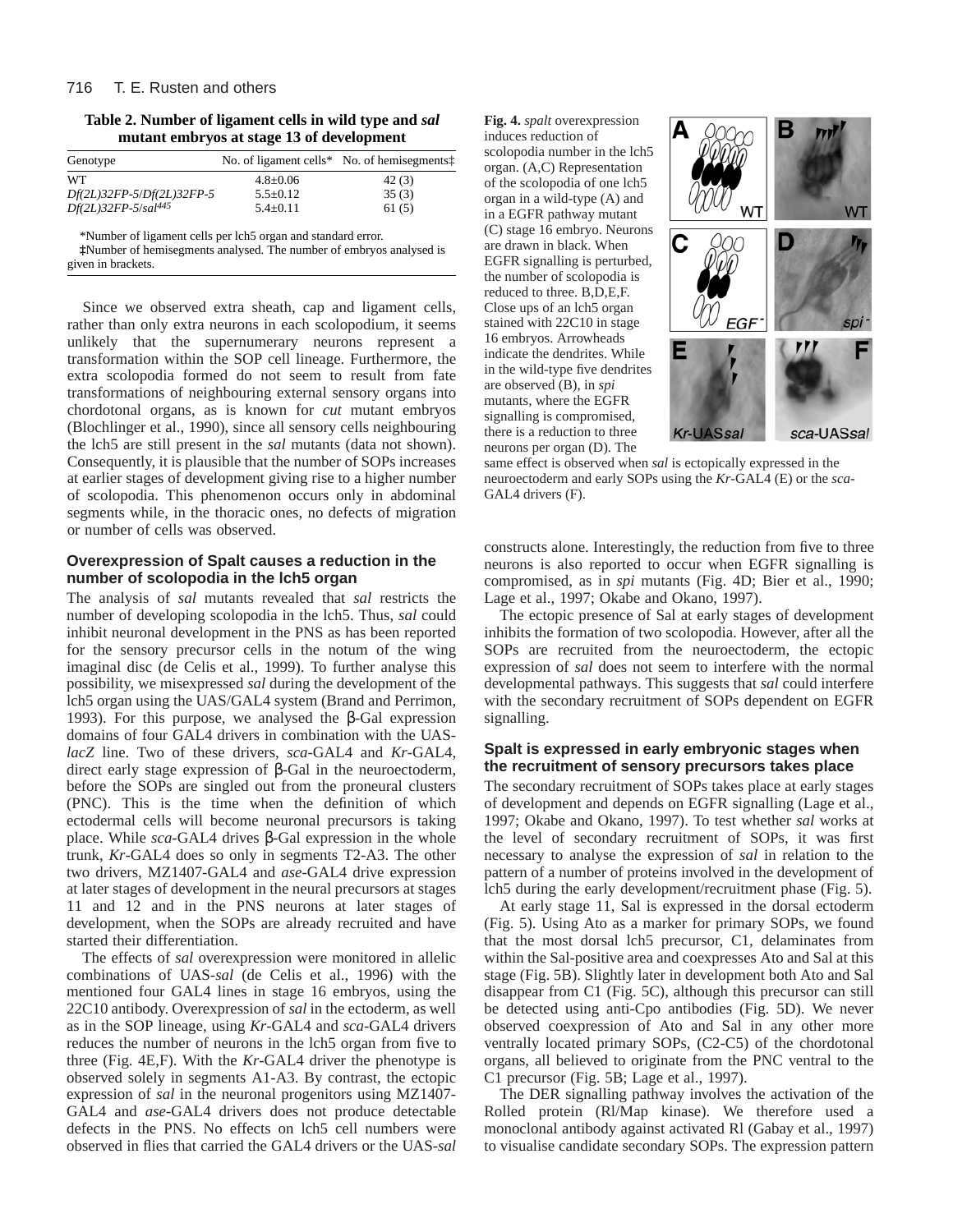#### 716 T. E. Rusten and others

**Table 2. Number of ligament cells in wild type and** *sal* **mutant embryos at stage 13 of development**

| Genotype                  |              | No. of ligament cells* No. of hemisegments <sup>†</sup> |
|---------------------------|--------------|---------------------------------------------------------|
| WT                        | $4.8 + 0.06$ | 42(3)                                                   |
| Df(2L)32FP-5/Df(2L)32FP-5 | $5.5+0.12$   | 35(3)                                                   |
| $Df(2L)32FP-5/sal^{445}$  | $5.4+0.11$   | 61(5)                                                   |

\*Number of ligament cells per lch5 organ and standard error.

**‡**Number of hemisegments analysed. The number of embryos analysed is given in brackets.

Since we observed extra sheath, cap and ligament cells, rather than only extra neurons in each scolopodium, it seems unlikely that the supernumerary neurons represent a transformation within the SOP cell lineage. Furthermore, the extra scolopodia formed do not seem to result from fate transformations of neighbouring external sensory organs into chordotonal organs, as is known for *cut* mutant embryos (Blochlinger et al., 1990), since all sensory cells neighbouring the lch5 are still present in the *sal* mutants (data not shown). Consequently, it is plausible that the number of SOPs increases at earlier stages of development giving rise to a higher number of scolopodia. This phenomenon occurs only in abdominal segments while, in the thoracic ones, no defects of migration or number of cells was observed.

### **Overexpression of Spalt causes a reduction in the number of scolopodia in the lch5 organ**

The analysis of *sal* mutants revealed that *sal* restricts the number of developing scolopodia in the lch5. Thus, *sal* could inhibit neuronal development in the PNS as has been reported for the sensory precursor cells in the notum of the wing imaginal disc (de Celis et al., 1999). To further analyse this possibility, we misexpressed *sal* during the development of the lch5 organ using the UAS/GAL4 system (Brand and Perrimon, 1993). For this purpose, we analysed the β-Gal expression domains of four GAL4 drivers in combination with the UAS*lacZ* line. Two of these drivers, *sca*-GAL4 and *Kr*-GAL4, direct early stage expression of β-Gal in the neuroectoderm, before the SOPs are singled out from the proneural clusters (PNC). This is the time when the definition of which ectodermal cells will become neuronal precursors is taking place. While *sca*-GAL4 drives β-Gal expression in the whole trunk, *Kr*-GAL4 does so only in segments T2-A3. The other two drivers, MZ1407-GAL4 and *ase*-GAL4 drive expression at later stages of development in the neural precursors at stages 11 and 12 and in the PNS neurons at later stages of development, when the SOPs are already recruited and have started their differentiation.

The effects of *sal* overexpression were monitored in allelic combinations of UAS-*sal* (de Celis et al., 1996) with the mentioned four GAL4 lines in stage 16 embryos, using the 22C10 antibody. Overexpression of *sal* in the ectoderm, as well as in the SOP lineage, using *Kr*-GAL4 and *sca*-GAL4 drivers reduces the number of neurons in the lch5 organ from five to three (Fig. 4E,F). With the *Kr*-GAL4 driver the phenotype is observed solely in segments A1-A3. By contrast, the ectopic expression of *sal* in the neuronal progenitors using MZ1407- GAL4 and *ase*-GAL4 drivers does not produce detectable defects in the PNS. No effects on lch5 cell numbers were observed in flies that carried the GAL4 drivers or the UAS-*sal* **Fig. 4.** *spalt* overexpression induces reduction of

scolopodia number in the lch5 organ. (A,C) Representation of the scolopodia of one lch5 organ in a wild-type (A) and in a EGFR pathway mutant (C) stage 16 embryo. Neurons are drawn in black. When EGFR signalling is perturbed, the number of scolopodia is reduced to three. B,D,E,F. Close ups of an lch5 organ stained with 22C10 in stage 16 embryos. Arrowheads indicate the dendrites. While in the wild-type five dendrites are observed (B), in *spi* mutants, where the EGFR signalling is compromised, there is a reduction to three neurons per organ (D). The



same effect is observed when *sal* is ectopically expressed in the neuroectoderm and early SOPs using the *Kr*-GAL4 (E) or the *sca*-GAL4 drivers (F).

constructs alone. Interestingly, the reduction from five to three neurons is also reported to occur when EGFR signalling is compromised, as in *spi* mutants (Fig. 4D; Bier et al., 1990; Lage et al., 1997; Okabe and Okano, 1997).

The ectopic presence of Sal at early stages of development inhibits the formation of two scolopodia. However, after all the SOPs are recruited from the neuroectoderm, the ectopic expression of *sal* does not seem to interfere with the normal developmental pathways. This suggests that *sal* could interfere with the secondary recruitment of SOPs dependent on EGFR signalling.

### **Spalt is expressed in early embryonic stages when the recruitment of sensory precursors takes place**

The secondary recruitment of SOPs takes place at early stages of development and depends on EGFR signalling (Lage et al., 1997; Okabe and Okano, 1997). To test whether *sal* works at the level of secondary recruitment of SOPs, it was first necessary to analyse the expression of *sal* in relation to the pattern of a number of proteins involved in the development of lch5 during the early development/recruitment phase (Fig. 5).

At early stage 11, Sal is expressed in the dorsal ectoderm (Fig. 5). Using Ato as a marker for primary SOPs, we found that the most dorsal lch5 precursor, C1, delaminates from within the Sal-positive area and coexpresses Ato and Sal at this stage (Fig. 5B). Slightly later in development both Ato and Sal disappear from C1 (Fig. 5C), although this precursor can still be detected using anti-Cpo antibodies (Fig. 5D). We never observed coexpression of Ato and Sal in any other more ventrally located primary SOPs, (C2-C5) of the chordotonal organs, all believed to originate from the PNC ventral to the C1 precursor (Fig. 5B; Lage et al., 1997).

The DER signalling pathway involves the activation of the Rolled protein (Rl/Map kinase). We therefore used a monoclonal antibody against activated Rl (Gabay et al., 1997) to visualise candidate secondary SOPs. The expression pattern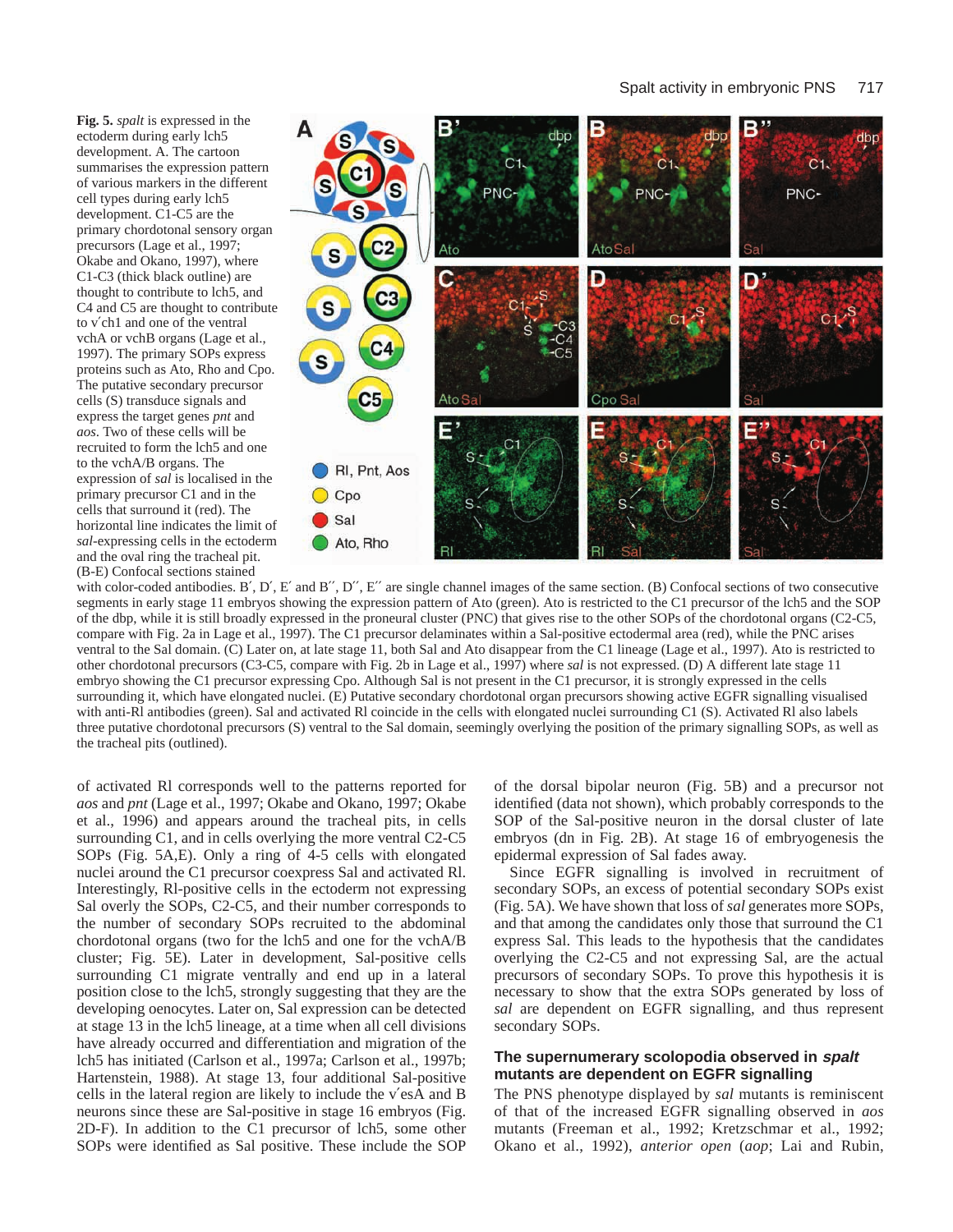**Fig. 5.** *spalt* is expressed in the ectoderm during early lch5 development. A. The cartoon summarises the expression pattern of various markers in the different cell types during early lch5 development. C1-C5 are the primary chordotonal sensory organ precursors (Lage et al., 1997; Okabe and Okano, 1997), where C1-C3 (thick black outline) are thought to contribute to lch5, and C4 and C5 are thought to contribute to v′ch1 and one of the ventral vchA or vchB organs (Lage et al., 1997). The primary SOPs express proteins such as Ato, Rho and Cpo. The putative secondary precursor cells (S) transduce signals and express the target genes *pnt* and *aos*. Two of these cells will be recruited to form the lch5 and one to the vchA/B organs. The expression of *sal* is localised in the primary precursor C1 and in the cells that surround it (red). The horizontal line indicates the limit of *sal*-expressing cells in the ectoderm and the oval ring the tracheal pit. (B-E) Confocal sections stained



with color-coded antibodies. B', D', E' and B", D", E'' are single channel images of the same section. (B) Confocal sections of two consecutive segments in early stage 11 embryos showing the expression pattern of Ato (green). Ato is restricted to the C1 precursor of the lch5 and the SOP of the dbp, while it is still broadly expressed in the proneural cluster (PNC) that gives rise to the other SOPs of the chordotonal organs (C2-C5, compare with Fig. 2a in Lage et al., 1997). The C1 precursor delaminates within a Sal-positive ectodermal area (red), while the PNC arises ventral to the Sal domain. (C) Later on, at late stage 11, both Sal and Ato disappear from the C1 lineage (Lage et al., 1997). Ato is restricted to other chordotonal precursors (C3-C5, compare with Fig. 2b in Lage et al., 1997) where *sal* is not expressed. (D) A different late stage 11 embryo showing the C1 precursor expressing Cpo. Although Sal is not present in the C1 precursor, it is strongly expressed in the cells surrounding it, which have elongated nuclei. (E) Putative secondary chordotonal organ precursors showing active EGFR signalling visualised with anti-Rl antibodies (green). Sal and activated Rl coincide in the cells with elongated nuclei surrounding C1 (S). Activated Rl also labels three putative chordotonal precursors (S) ventral to the Sal domain, seemingly overlying the position of the primary signalling SOPs, as well as the tracheal pits (outlined).

of activated Rl corresponds well to the patterns reported for *aos* and *pnt* (Lage et al., 1997; Okabe and Okano, 1997; Okabe et al., 1996) and appears around the tracheal pits, in cells surrounding C1, and in cells overlying the more ventral C2-C5 SOPs (Fig. 5A,E). Only a ring of 4-5 cells with elongated nuclei around the C1 precursor coexpress Sal and activated Rl. Interestingly, Rl-positive cells in the ectoderm not expressing Sal overly the SOPs, C2-C5, and their number corresponds to the number of secondary SOPs recruited to the abdominal chordotonal organs (two for the lch5 and one for the vchA/B cluster; Fig. 5E). Later in development, Sal-positive cells surrounding C1 migrate ventrally and end up in a lateral position close to the lch5, strongly suggesting that they are the developing oenocytes. Later on, Sal expression can be detected at stage 13 in the lch5 lineage, at a time when all cell divisions have already occurred and differentiation and migration of the lch5 has initiated (Carlson et al., 1997a; Carlson et al., 1997b; Hartenstein, 1988). At stage 13, four additional Sal-positive cells in the lateral region are likely to include the v′esA and B neurons since these are Sal-positive in stage 16 embryos (Fig. 2D-F). In addition to the C1 precursor of lch5, some other SOPs were identified as Sal positive. These include the SOP

of the dorsal bipolar neuron (Fig. 5B) and a precursor not identified (data not shown), which probably corresponds to the SOP of the Sal-positive neuron in the dorsal cluster of late embryos (dn in Fig. 2B). At stage 16 of embryogenesis the epidermal expression of Sal fades away.

Since EGFR signalling is involved in recruitment of secondary SOPs, an excess of potential secondary SOPs exist (Fig. 5A). We have shown that loss of *sal* generates more SOPs, and that among the candidates only those that surround the C1 express Sal. This leads to the hypothesis that the candidates overlying the C2-C5 and not expressing Sal, are the actual precursors of secondary SOPs. To prove this hypothesis it is necessary to show that the extra SOPs generated by loss of *sal* are dependent on EGFR signalling, and thus represent secondary SOPs.

### **The supernumerary scolopodia observed in spalt mutants are dependent on EGFR signalling**

The PNS phenotype displayed by *sal* mutants is reminiscent of that of the increased EGFR signalling observed in *aos* mutants (Freeman et al., 1992; Kretzschmar et al., 1992; Okano et al., 1992), *anterior open* (*aop*; Lai and Rubin,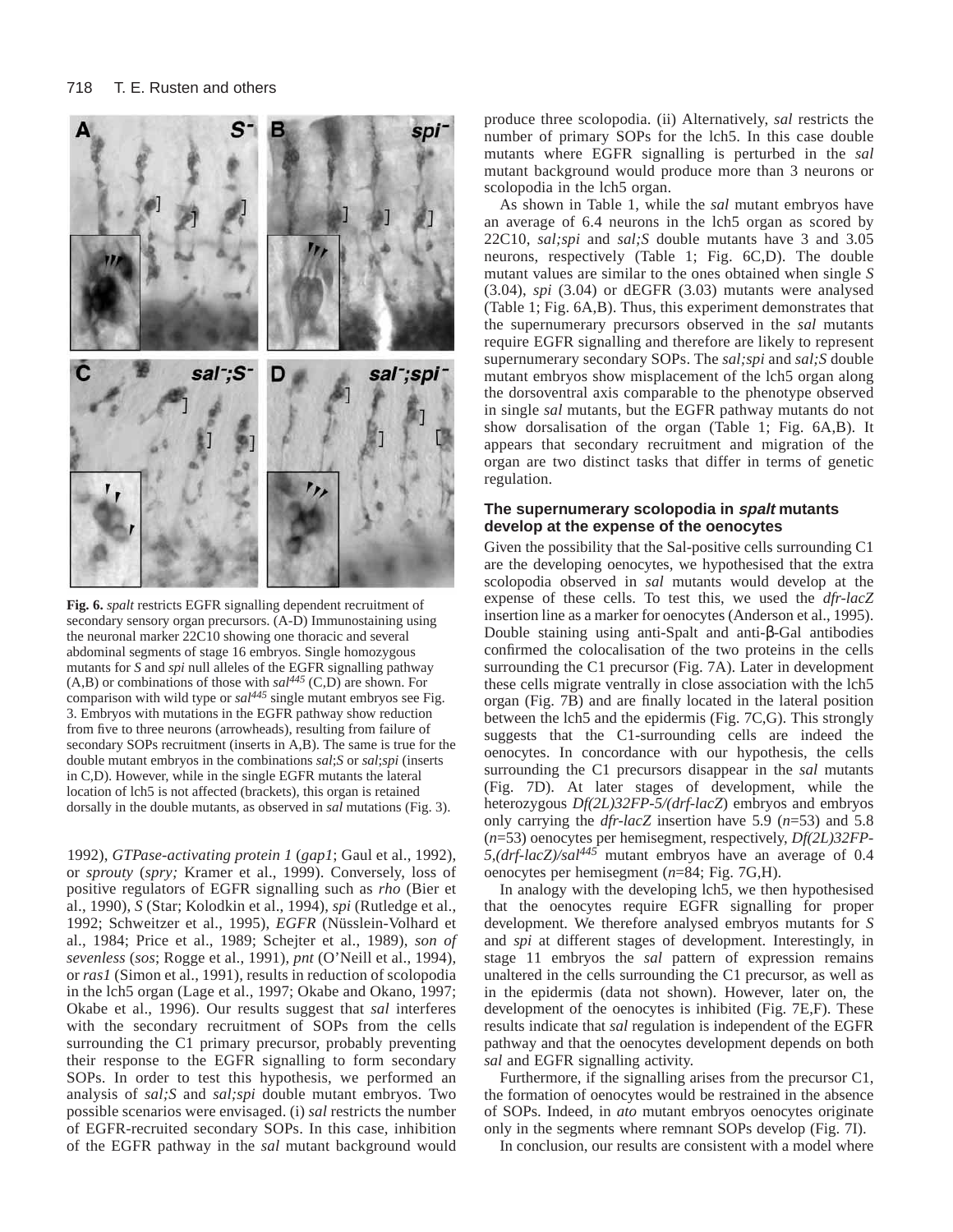

**Fig. 6.** *spalt* restricts EGFR signalling dependent recruitment of secondary sensory organ precursors. (A-D) Immunostaining using the neuronal marker 22C10 showing one thoracic and several abdominal segments of stage 16 embryos. Single homozygous mutants for *S* and *spi* null alleles of the EGFR signalling pathway  $(A,B)$  or combinations of those with  $sal^{445}$  (C,D) are shown. For comparison with wild type or *sal445* single mutant embryos see Fig. 3. Embryos with mutations in the EGFR pathway show reduction from five to three neurons (arrowheads), resulting from failure of secondary SOPs recruitment (inserts in A,B). The same is true for the double mutant embryos in the combinations *sal*;*S* or *sal*;*spi* (inserts in C,D). However, while in the single EGFR mutants the lateral location of lch5 is not affected (brackets), this organ is retained dorsally in the double mutants, as observed in *sal* mutations (Fig. 3).

1992), *GTPase-activating protein 1* (*gap1*; Gaul et al., 1992), or *sprouty* (*spry;* Kramer et al., 1999). Conversely, loss of positive regulators of EGFR signalling such as *rho* (Bier et al., 1990), *S* (Star; Kolodkin et al., 1994), *spi* (Rutledge et al., 1992; Schweitzer et al., 1995), *EGFR* (Nüsslein-Volhard et al., 1984; Price et al., 1989; Schejter et al., 1989), *son of sevenless* (*sos*; Rogge et al., 1991), *pnt* (O'Neill et al., 1994), or *ras1* (Simon et al., 1991)*,* results in reduction of scolopodia in the lch5 organ (Lage et al., 1997; Okabe and Okano, 1997; Okabe et al., 1996). Our results suggest that *sal* interferes with the secondary recruitment of SOPs from the cells surrounding the C1 primary precursor, probably preventing their response to the EGFR signalling to form secondary SOPs. In order to test this hypothesis, we performed an analysis of *sal;S* and *sal;spi* double mutant embryos. Two possible scenarios were envisaged. (i) *sal* restricts the number of EGFR-recruited secondary SOPs. In this case, inhibition of the EGFR pathway in the *sal* mutant background would

produce three scolopodia. (ii) Alternatively, *sal* restricts the number of primary SOPs for the lch5. In this case double mutants where EGFR signalling is perturbed in the *sal* mutant background would produce more than 3 neurons or scolopodia in the lch5 organ.

As shown in Table 1, while the *sal* mutant embryos have an average of 6.4 neurons in the lch5 organ as scored by 22C10, *sal;spi* and *sal;S* double mutants have 3 and 3.05 neurons, respectively (Table 1; Fig. 6C,D). The double mutant values are similar to the ones obtained when single *S* (3.04), *spi* (3.04) or dEGFR (3.03) mutants were analysed (Table 1; Fig. 6A,B). Thus, this experiment demonstrates that the supernumerary precursors observed in the *sal* mutants require EGFR signalling and therefore are likely to represent supernumerary secondary SOPs. The *sal;spi* and *sal;S* double mutant embryos show misplacement of the lch5 organ along the dorsoventral axis comparable to the phenotype observed in single *sal* mutants, but the EGFR pathway mutants do not show dorsalisation of the organ (Table 1; Fig. 6A,B). It appears that secondary recruitment and migration of the organ are two distinct tasks that differ in terms of genetic regulation.

### **The supernumerary scolopodia in spalt mutants develop at the expense of the oenocytes**

Given the possibility that the Sal-positive cells surrounding C1 are the developing oenocytes, we hypothesised that the extra scolopodia observed in *sal* mutants would develop at the expense of these cells. To test this, we used the *dfr-lacZ* insertion line as a marker for oenocytes (Anderson et al., 1995). Double staining using anti-Spalt and anti-β-Gal antibodies confirmed the colocalisation of the two proteins in the cells surrounding the C1 precursor (Fig. 7A). Later in development these cells migrate ventrally in close association with the lch5 organ (Fig. 7B) and are finally located in the lateral position between the lch5 and the epidermis (Fig. 7C,G). This strongly suggests that the C1-surrounding cells are indeed the oenocytes. In concordance with our hypothesis, the cells surrounding the C1 precursors disappear in the *sal* mutants (Fig. 7D). At later stages of development, while the heterozygous *Df(2L)32FP-5/(drf-lacZ*) embryos and embryos only carrying the *dfr-lacZ* insertion have 5.9 (*n*=53) and 5.8 (*n*=53) oenocytes per hemisegment, respectively, *Df(2L)32FP-5,(drf-lacZ)/sal445* mutant embryos have an average of 0.4 oenocytes per hemisegment (*n*=84; Fig. 7G,H).

In analogy with the developing lch5, we then hypothesised that the oenocytes require EGFR signalling for proper development. We therefore analysed embryos mutants for *S* and *spi* at different stages of development. Interestingly, in stage 11 embryos the *sal* pattern of expression remains unaltered in the cells surrounding the C1 precursor, as well as in the epidermis (data not shown). However, later on, the development of the oenocytes is inhibited (Fig. 7E,F). These results indicate that *sal* regulation is independent of the EGFR pathway and that the oenocytes development depends on both *sal* and EGFR signalling activity.

Furthermore, if the signalling arises from the precursor C1, the formation of oenocytes would be restrained in the absence of SOPs. Indeed, in *ato* mutant embryos oenocytes originate only in the segments where remnant SOPs develop (Fig. 7I).

In conclusion, our results are consistent with a model where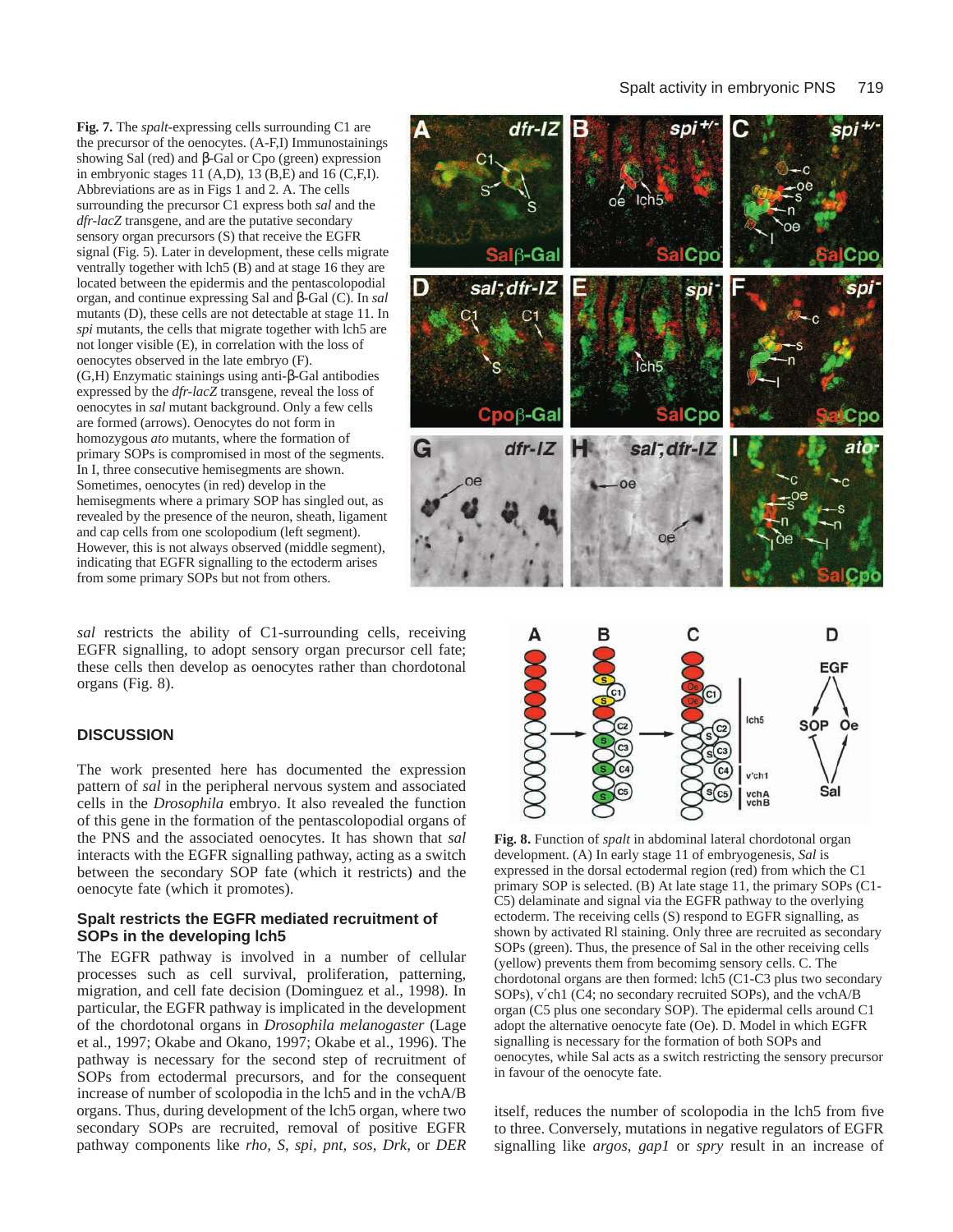**Fig. 7.** The *spalt*-expressing cells surrounding C1 are the precursor of the oenocytes. (A-F,I) Immunostainings showing Sal (red) and β-Gal or Cpo (green) expression in embryonic stages 11 (A,D),  $13 \overline{(B,E)}$  and  $16 \overline{(C,F,I)}$ . Abbreviations are as in Figs 1 and 2. A. The cells surrounding the precursor C1 express both *sal* and the *dfr-lacZ* transgene, and are the putative secondary sensory organ precursors (S) that receive the EGFR signal (Fig. 5). Later in development, these cells migrate ventrally together with lch5 (B) and at stage 16 they are located between the epidermis and the pentascolopodial organ, and continue expressing Sal and β-Gal (C). In *sal* mutants (D), these cells are not detectable at stage 11. In *spi* mutants, the cells that migrate together with lch5 are not longer visible (E), in correlation with the loss of oenocytes observed in the late embryo (F). (G,H) Enzymatic stainings using anti-β-Gal antibodies expressed by the *dfr-lacZ* transgene, reveal the loss of oenocytes in *sal* mutant background. Only a few cells are formed (arrows). Oenocytes do not form in homozygous *ato* mutants, where the formation of primary SOPs is compromised in most of the segments. In I, three consecutive hemisegments are shown. Sometimes, oenocytes (in red) develop in the hemisegments where a primary SOP has singled out, as revealed by the presence of the neuron, sheath, ligament and cap cells from one scolopodium (left segment). However, this is not always observed (middle segment), indicating that EGFR signalling to the ectoderm arises from some primary SOPs but not from others.

*sal* restricts the ability of C1-surrounding cells, receiving EGFR signalling, to adopt sensory organ precursor cell fate; these cells then develop as oenocytes rather than chordotonal organs (Fig. 8).

### **DISCUSSION**

The work presented here has documented the expression pattern of *sal* in the peripheral nervous system and associated cells in the *Drosophila* embryo. It also revealed the function of this gene in the formation of the pentascolopodial organs of the PNS and the associated oenocytes. It has shown that *sal* interacts with the EGFR signalling pathway, acting as a switch between the secondary SOP fate (which it restricts) and the oenocyte fate (which it promotes).

### **Spalt restricts the EGFR mediated recruitment of SOPs in the developing lch5**

The EGFR pathway is involved in a number of cellular processes such as cell survival, proliferation, patterning, migration, and cell fate decision (Dominguez et al., 1998). In particular, the EGFR pathway is implicated in the development of the chordotonal organs in *Drosophila melanogaster* (Lage et al., 1997; Okabe and Okano, 1997; Okabe et al., 1996). The pathway is necessary for the second step of recruitment of SOPs from ectodermal precursors, and for the consequent increase of number of scolopodia in the lch5 and in the vchA/B organs. Thus, during development of the lch5 organ, where two secondary SOPs are recruited, removal of positive EGFR pathway components like *rho, S*, *spi, pnt, sos*, *Drk*, or *DER*





**Fig. 8.** Function of *spalt* in abdominal lateral chordotonal organ development. (A) In early stage 11 of embryogenesis, *Sal* is expressed in the dorsal ectodermal region (red) from which the C1 primary SOP is selected. (B) At late stage 11, the primary SOPs (C1- C5) delaminate and signal via the EGFR pathway to the overlying ectoderm. The receiving cells (S) respond to EGFR signalling, as shown by activated Rl staining. Only three are recruited as secondary SOPs (green). Thus, the presence of Sal in the other receiving cells (yellow) prevents them from becomimg sensory cells. C. The chordotonal organs are then formed: lch5 (C1-C3 plus two secondary SOPs), v′ch1 (C4; no secondary recruited SOPs), and the vchA/B organ (C5 plus one secondary SOP). The epidermal cells around C1 adopt the alternative oenocyte fate (Oe). D. Model in which EGFR signalling is necessary for the formation of both SOPs and oenocytes, while Sal acts as a switch restricting the sensory precursor in favour of the oenocyte fate.

itself, reduces the number of scolopodia in the lch5 from five to three. Conversely, mutations in negative regulators of EGFR signalling like *argos*, *gap1* or *spry* result in an increase of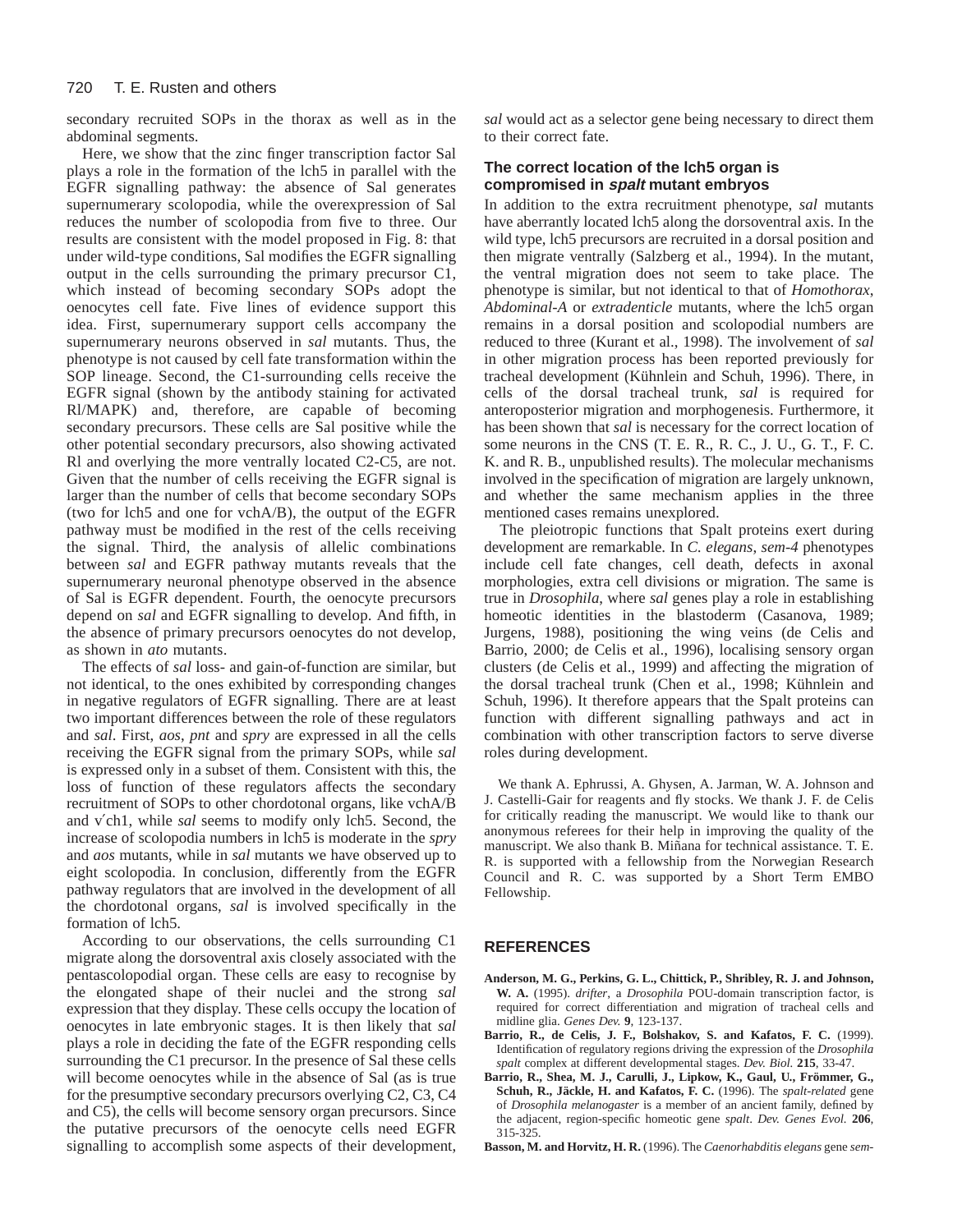secondary recruited SOPs in the thorax as well as in the abdominal segments.

Here, we show that the zinc finger transcription factor Sal plays a role in the formation of the lch5 in parallel with the EGFR signalling pathway: the absence of Sal generates supernumerary scolopodia, while the overexpression of Sal reduces the number of scolopodia from five to three. Our results are consistent with the model proposed in Fig. 8: that under wild-type conditions, Sal modifies the EGFR signalling output in the cells surrounding the primary precursor C1, which instead of becoming secondary SOPs adopt the oenocytes cell fate. Five lines of evidence support this idea. First, supernumerary support cells accompany the supernumerary neurons observed in *sal* mutants. Thus, the phenotype is not caused by cell fate transformation within the SOP lineage. Second, the C1-surrounding cells receive the EGFR signal (shown by the antibody staining for activated Rl/MAPK) and, therefore, are capable of becoming secondary precursors. These cells are Sal positive while the other potential secondary precursors, also showing activated Rl and overlying the more ventrally located C2-C5, are not. Given that the number of cells receiving the EGFR signal is larger than the number of cells that become secondary SOPs (two for lch5 and one for vchA/B), the output of the EGFR pathway must be modified in the rest of the cells receiving the signal. Third, the analysis of allelic combinations between *sal* and EGFR pathway mutants reveals that the supernumerary neuronal phenotype observed in the absence of Sal is EGFR dependent. Fourth, the oenocyte precursors depend on *sal* and EGFR signalling to develop. And fifth, in the absence of primary precursors oenocytes do not develop, as shown in *ato* mutants.

The effects of *sal* loss- and gain-of-function are similar, but not identical, to the ones exhibited by corresponding changes in negative regulators of EGFR signalling. There are at least two important differences between the role of these regulators and *sal*. First, *aos*, *pnt* and *spry* are expressed in all the cells receiving the EGFR signal from the primary SOPs, while *sal* is expressed only in a subset of them. Consistent with this, the loss of function of these regulators affects the secondary recruitment of SOPs to other chordotonal organs, like vchA/B and v′ch1, while *sal* seems to modify only lch5. Second, the increase of scolopodia numbers in lch5 is moderate in the *spry* and *aos* mutants, while in *sal* mutants we have observed up to eight scolopodia. In conclusion, differently from the EGFR pathway regulators that are involved in the development of all the chordotonal organs, *sal* is involved specifically in the formation of lch5.

According to our observations, the cells surrounding C1 migrate along the dorsoventral axis closely associated with the pentascolopodial organ. These cells are easy to recognise by the elongated shape of their nuclei and the strong *sal* expression that they display. These cells occupy the location of oenocytes in late embryonic stages. It is then likely that *sal* plays a role in deciding the fate of the EGFR responding cells surrounding the C1 precursor. In the presence of Sal these cells will become oenocytes while in the absence of Sal (as is true for the presumptive secondary precursors overlying C2, C3, C4 and C5), the cells will become sensory organ precursors. Since the putative precursors of the oenocyte cells need EGFR signalling to accomplish some aspects of their development,

*sal* would act as a selector gene being necessary to direct them to their correct fate.

### **The correct location of the lch5 organ is compromised in spalt mutant embryos**

In addition to the extra recruitment phenotype, *sal* mutants have aberrantly located lch5 along the dorsoventral axis. In the wild type, lch5 precursors are recruited in a dorsal position and then migrate ventrally (Salzberg et al., 1994). In the mutant, the ventral migration does not seem to take place. The phenotype is similar, but not identical to that of *Homothorax*, *Abdominal-A* or *extradenticle* mutants, where the lch5 organ remains in a dorsal position and scolopodial numbers are reduced to three (Kurant et al., 1998). The involvement of *sal* in other migration process has been reported previously for tracheal development (Kühnlein and Schuh, 1996). There, in cells of the dorsal tracheal trunk, *sal* is required for anteroposterior migration and morphogenesis. Furthermore, it has been shown that *sal* is necessary for the correct location of some neurons in the CNS (T. E. R., R. C., J. U., G. T., F. C. K. and R. B., unpublished results). The molecular mechanisms involved in the specification of migration are largely unknown, and whether the same mechanism applies in the three mentioned cases remains unexplored.

The pleiotropic functions that Spalt proteins exert during development are remarkable. In *C. elegans*, *sem-4* phenotypes include cell fate changes, cell death, defects in axonal morphologies, extra cell divisions or migration. The same is true in *Drosophila*, where *sal* genes play a role in establishing homeotic identities in the blastoderm (Casanova, 1989; Jurgens, 1988), positioning the wing veins (de Celis and Barrio, 2000; de Celis et al., 1996), localising sensory organ clusters (de Celis et al., 1999) and affecting the migration of the dorsal tracheal trunk (Chen et al., 1998; Kühnlein and Schuh, 1996). It therefore appears that the Spalt proteins can function with different signalling pathways and act in combination with other transcription factors to serve diverse roles during development.

We thank A. Ephrussi, A. Ghysen, A. Jarman, W. A. Johnson and J. Castelli-Gair for reagents and fly stocks. We thank J. F. de Celis for critically reading the manuscript. We would like to thank our anonymous referees for their help in improving the quality of the manuscript. We also thank B. Miñana for technical assistance. T. E. R. is supported with a fellowship from the Norwegian Research Council and R. C. was supported by a Short Term EMBO Fellowship.

# **REFERENCES**

- **Anderson, M. G., Perkins, G. L., Chittick, P., Shribley, R. J. and Johnson, W. A.** (1995). *drifter*, a *Drosophila* POU-domain transcription factor, is required for correct differentiation and migration of tracheal cells and midline glia. *Genes Dev.* **9**, 123-137.
- **Barrio, R., de Celis, J. F., Bolshakov, S. and Kafatos, F. C.** (1999). Identification of regulatory regions driving the expression of the *Drosophila spalt* complex at different developmental stages. *Dev. Biol.* **215**, 33-47.
- **Barrio, R., Shea, M. J., Carulli, J., Lipkow, K., Gaul, U., Frömmer, G., Schuh, R., Jäckle, H. and Kafatos, F. C.** (1996). The *spalt-related* gene of *Drosophila melanogaster* is a member of an ancient family, defined by the adjacent, region-specific homeotic gene *spalt*. *Dev. Genes Evol.* **206**, 315-325.
- **Basson, M. and Horvitz, H. R.** (1996). The *Caenorhabditis elegans* gene *sem-*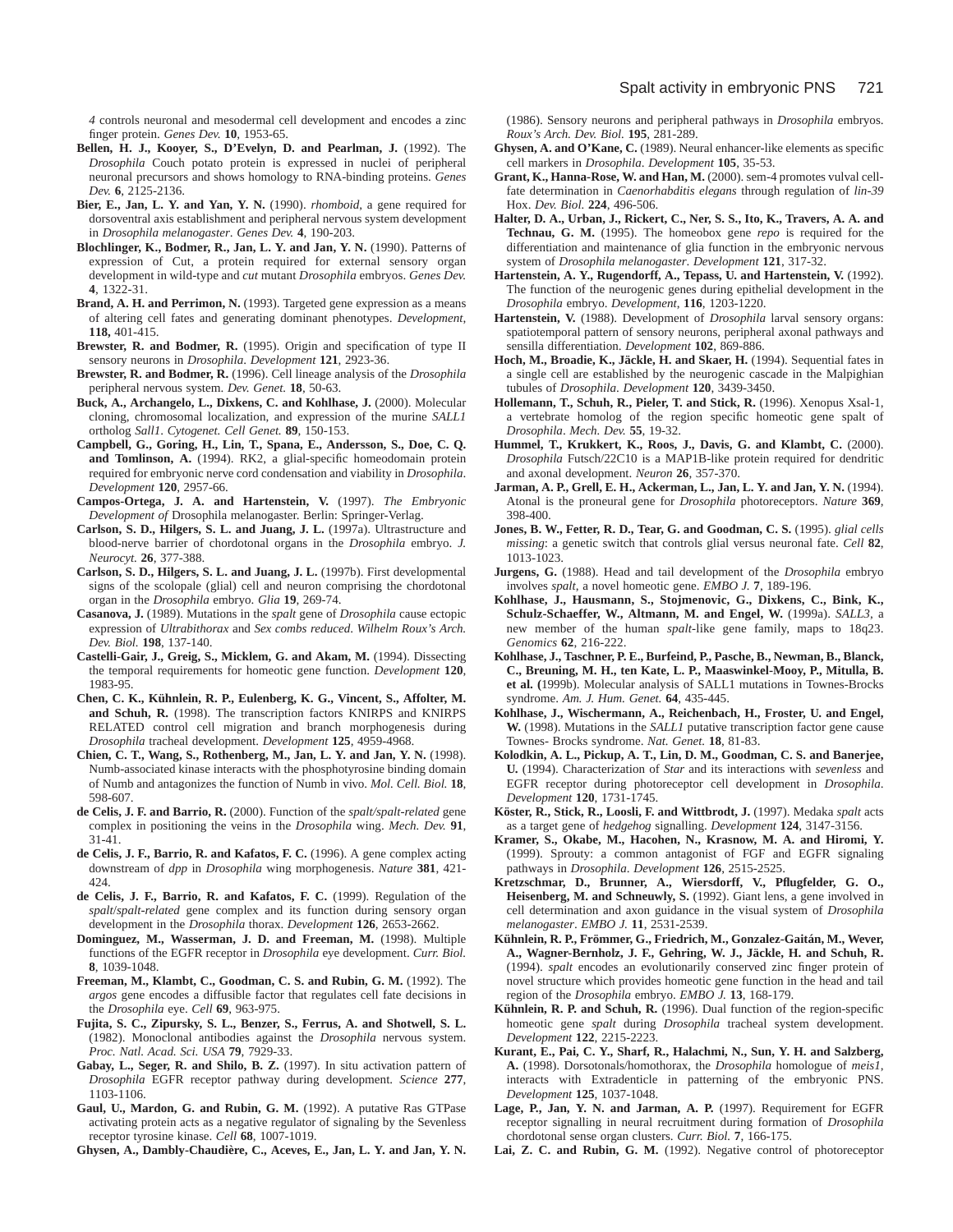*4* controls neuronal and mesodermal cell development and encodes a zinc finger protein. *Genes Dev.* **10**, 1953-65.

- **Bellen, H. J., Kooyer, S., D'Evelyn, D. and Pearlman, J.** (1992). The *Drosophila* Couch potato protein is expressed in nuclei of peripheral neuronal precursors and shows homology to RNA-binding proteins. *Genes Dev.* **6**, 2125-2136.
- **Bier, E., Jan, L. Y. and Yan, Y. N.** (1990). *rhomboid*, a gene required for dorsoventral axis establishment and peripheral nervous system development in *Drosophila melanogaster*. *Genes Dev.* **4**, 190-203.
- **Blochlinger, K., Bodmer, R., Jan, L. Y. and Jan, Y. N.** (1990). Patterns of expression of Cut, a protein required for external sensory organ development in wild-type and *cut* mutant *Drosophila* embryos. *Genes Dev.* **4**, 1322-31.
- **Brand, A. H. and Perrimon, N.** (1993). Targeted gene expression as a means of altering cell fates and generating dominant phenotypes. *Development*, **118,** 401-415.
- **Brewster, R. and Bodmer, R.** (1995). Origin and specification of type II sensory neurons in *Drosophila*. *Development* **121**, 2923-36.
- **Brewster, R. and Bodmer, R.** (1996). Cell lineage analysis of the *Drosophila* peripheral nervous system. *Dev. Genet.* **18**, 50-63.
- **Buck, A., Archangelo, L., Dixkens, C. and Kohlhase, J.** (2000). Molecular cloning, chromosomal localization, and expression of the murine *SALL1* ortholog *Sall1*. *Cytogenet. Cell Genet.* **89**, 150-153.
- **Campbell, G., Goring, H., Lin, T., Spana, E., Andersson, S., Doe, C. Q. and Tomlinson, A.** (1994). RK2, a glial-specific homeodomain protein required for embryonic nerve cord condensation and viability in *Drosophila*. *Development* **120**, 2957-66.
- **Campos-Ortega, J. A. and Hartenstein, V.** (1997). *The Embryonic Development of* Drosophila melanogaster. Berlin: Springer-Verlag.
- **Carlson, S. D., Hilgers, S. L. and Juang, J. L.** (1997a). Ultrastructure and blood-nerve barrier of chordotonal organs in the *Drosophila* embryo. *J. Neurocyt.* **26**, 377-388.
- **Carlson, S. D., Hilgers, S. L. and Juang, J. L.** (1997b). First developmental signs of the scolopale (glial) cell and neuron comprising the chordotonal organ in the *Drosophila* embryo. *Glia* **19**, 269-74.
- **Casanova, J.** (1989). Mutations in the *spalt* gene of *Drosophila* cause ectopic expression of *Ultrabithorax* and *Sex combs reduced*. *Wilhelm Roux's Arch. Dev. Biol.* **198**, 137-140.
- **Castelli-Gair, J., Greig, S., Micklem, G. and Akam, M.** (1994). Dissecting the temporal requirements for homeotic gene function. *Development* **120**, 1983-95.
- **Chen, C. K., Kühnlein, R. P., Eulenberg, K. G., Vincent, S., Affolter, M. and Schuh, R.** (1998). The transcription factors KNIRPS and KNIRPS RELATED control cell migration and branch morphogenesis during *Drosophila* tracheal development. *Development* **125**, 4959-4968.
- **Chien, C. T., Wang, S., Rothenberg, M., Jan, L. Y. and Jan, Y. N.** (1998). Numb-associated kinase interacts with the phosphotyrosine binding domain of Numb and antagonizes the function of Numb in vivo. *Mol. Cell. Biol.* **18**, 598-607.
- **de Celis, J. F. and Barrio, R.** (2000). Function of the *spalt/spalt-related* gene complex in positioning the veins in the *Drosophila* wing. *Mech. Dev.* **91**, 31-41.
- **de Celis, J. F., Barrio, R. and Kafatos, F. C.** (1996). A gene complex acting downstream of *dpp* in *Drosophila* wing morphogenesis. *Nature* **381**, 421- 424.
- **de Celis, J. F., Barrio, R. and Kafatos, F. C.** (1999). Regulation of the *spalt*/*spalt-related* gene complex and its function during sensory organ development in the *Drosophila* thorax. *Development* **126**, 2653-2662.
- **Dominguez, M., Wasserman, J. D. and Freeman, M.** (1998). Multiple functions of the EGFR receptor in *Drosophila* eye development. *Curr. Biol.* **8**, 1039-1048.
- **Freeman, M., Klambt, C., Goodman, C. S. and Rubin, G. M.** (1992). The *argos* gene encodes a diffusible factor that regulates cell fate decisions in the *Drosophila* eye. *Cell* **69**, 963-975.
- **Fujita, S. C., Zipursky, S. L., Benzer, S., Ferrus, A. and Shotwell, S. L.** (1982). Monoclonal antibodies against the *Drosophila* nervous system. *Proc. Natl. Acad. Sci. USA* **79**, 7929-33.
- **Gabay, L., Seger, R. and Shilo, B. Z.** (1997). In situ activation pattern of *Drosophila* EGFR receptor pathway during development. *Science* **277**, 1103-1106.
- **Gaul, U., Mardon, G. and Rubin, G. M.** (1992). A putative Ras GTPase activating protein acts as a negative regulator of signaling by the Sevenless receptor tyrosine kinase. *Cell* **68**, 1007-1019.

**Ghysen, A., Dambly-Chaudière, C., Aceves, E., Jan, L. Y. and Jan, Y. N.**

(1986). Sensory neurons and peripheral pathways in *Drosophila* embryos. *Roux's Arch. Dev. Biol.* **195**, 281-289.

- **Ghysen, A. and O'Kane, C.** (1989). Neural enhancer-like elements as specific cell markers in *Drosophila*. *Development* **105**, 35-53.
- **Grant, K., Hanna-Rose, W. and Han, M.** (2000). sem-4 promotes vulval cellfate determination in *Caenorhabditis elegans* through regulation of *lin-39* Hox. *Dev. Biol.* **224**, 496-506.
- **Halter, D. A., Urban, J., Rickert, C., Ner, S. S., Ito, K., Travers, A. A. and Technau, G. M.** (1995). The homeobox gene *repo* is required for the differentiation and maintenance of glia function in the embryonic nervous system of *Drosophila melanogaster*. *Development* **121**, 317-32.
- **Hartenstein, A. Y., Rugendorff, A., Tepass, U. and Hartenstein, V.** (1992). The function of the neurogenic genes during epithelial development in the *Drosophila* embryo. *Development*, **116**, 1203-1220.
- **Hartenstein, V.** (1988). Development of *Drosophila* larval sensory organs: spatiotemporal pattern of sensory neurons, peripheral axonal pathways and sensilla differentiation. *Development* **102**, 869-886.
- **Hoch, M., Broadie, K., Jäckle, H. and Skaer, H.** (1994). Sequential fates in a single cell are established by the neurogenic cascade in the Malpighian tubules of *Drosophila*. *Development* **120**, 3439-3450.
- **Hollemann, T., Schuh, R., Pieler, T. and Stick, R.** (1996). Xenopus Xsal-1, a vertebrate homolog of the region specific homeotic gene spalt of *Drosophila*. *Mech. Dev.* **55**, 19-32.
- **Hummel, T., Krukkert, K., Roos, J., Davis, G. and Klambt, C.** (2000). *Drosophila* Futsch/22C10 is a MAP1B-like protein required for dendritic and axonal development. *Neuron* **26**, 357-370.
- **Jarman, A. P., Grell, E. H., Ackerman, L., Jan, L. Y. and Jan, Y. N.** (1994). Atonal is the proneural gene for *Drosophila* photoreceptors. *Nature* **369**, 398-400.
- **Jones, B. W., Fetter, R. D., Tear, G. and Goodman, C. S.** (1995). *glial cells missing*: a genetic switch that controls glial versus neuronal fate. *Cell* **82**, 1013-1023.
- **Jurgens, G.** (1988). Head and tail development of the *Drosophila* embryo involves *spalt*, a novel homeotic gene. *EMBO J.* **7**, 189-196.
- **Kohlhase, J., Hausmann, S., Stojmenovic, G., Dixkens, C., Bink, K., Schulz-Schaeffer, W., Altmann, M. and Engel, W.** (1999a). *SALL3*, a new member of the human *spalt*-like gene family, maps to 18q23. *Genomics* **62**, 216-222.
- **Kohlhase, J., Taschner, P. E., Burfeind, P., Pasche, B., Newman, B., Blanck, C., Breuning, M. H., ten Kate, L. P., Maaswinkel-Mooy, P., Mitulla, B. et al. (**1999b). Molecular analysis of SALL1 mutations in Townes-Brocks syndrome. *Am. J. Hum. Genet.* **64**, 435-445.
- **Kohlhase, J., Wischermann, A., Reichenbach, H., Froster, U. and Engel, W.** (1998). Mutations in the *SALL1* putative transcription factor gene cause Townes- Brocks syndrome. *Nat. Genet.* **18**, 81-83.
- **Kolodkin, A. L., Pickup, A. T., Lin, D. M., Goodman, C. S. and Banerjee, U.** (1994). Characterization of *Star* and its interactions with *sevenless* and EGFR receptor during photoreceptor cell development in *Drosophila*. *Development* **120**, 1731-1745.
- **Köster, R., Stick, R., Loosli, F. and Wittbrodt, J.** (1997). Medaka *spalt* acts as a target gene of *hedgehog* signalling. *Development* **124**, 3147-3156.
- **Kramer, S., Okabe, M., Hacohen, N., Krasnow, M. A. and Hiromi, Y.** (1999). Sprouty: a common antagonist of FGF and EGFR signaling pathways in *Drosophila*. *Development* **126**, 2515-2525.
- **Kretzschmar, D., Brunner, A., Wiersdorff, V., Pflugfelder, G. O., Heisenberg, M. and Schneuwly, S.** (1992). Giant lens, a gene involved in cell determination and axon guidance in the visual system of *Drosophila melanogaster*. *EMBO J.* **11**, 2531-2539.
- **Kühnlein, R. P., Frömmer, G., Friedrich, M., Gonzalez-Gaitán, M., Wever, A., Wagner-Bernholz, J. F., Gehring, W. J., Jäckle, H. and Schuh, R.** (1994). *spalt* encodes an evolutionarily conserved zinc finger protein of novel structure which provides homeotic gene function in the head and tail region of the *Drosophila* embryo. *EMBO J.* **13**, 168-179.
- **Kühnlein, R. P. and Schuh, R.** (1996). Dual function of the region-specific homeotic gene *spalt* during *Drosophila* tracheal system development. *Development* **122**, 2215-2223.
- **Kurant, E., Pai, C. Y., Sharf, R., Halachmi, N., Sun, Y. H. and Salzberg, A.** (1998). Dorsotonals/homothorax, the *Drosophila* homologue of *meis1*, interacts with Extradenticle in patterning of the embryonic PNS. *Development* **125**, 1037-1048.
- **Lage, P., Jan, Y. N. and Jarman, A. P.** (1997). Requirement for EGFR receptor signalling in neural recruitment during formation of *Drosophila* chordotonal sense organ clusters. *Curr. Biol.* **7**, 166-175.
- **Lai, Z. C. and Rubin, G. M.** (1992). Negative control of photoreceptor